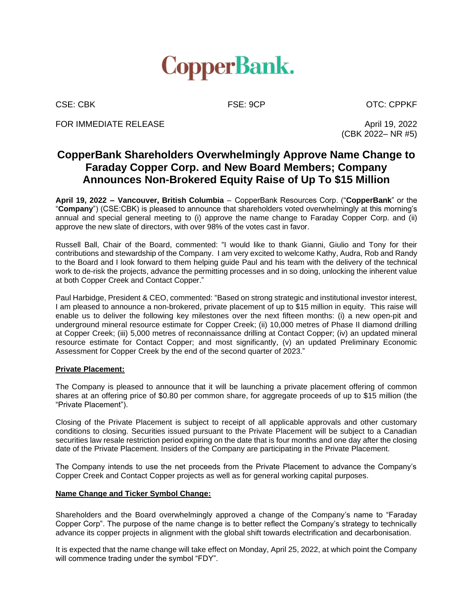

FOR IMMEDIATE RELEASE And the state of the state of the state of the state of the state of the state of the state of the state of the state of the state of the state of the state of the state of the state of the state of t

CSE: CBK FSE: 9CP CSE: CDPKF

(CBK 2022– NR #5)

# **CopperBank Shareholders Overwhelmingly Approve Name Change to Faraday Copper Corp. and New Board Members; Company Announces Non-Brokered Equity Raise of Up To \$15 Million**

**April 19, 2022 – Vancouver, British Columbia** – CopperBank Resources Corp. ("**CopperBank**" or the "**Company**") (CSE:CBK) is pleased to announce that shareholders voted overwhelmingly at this morning's annual and special general meeting to (i) approve the name change to Faraday Copper Corp. and (ii) approve the new slate of directors, with over 98% of the votes cast in favor.

Russell Ball, Chair of the Board, commented: "I would like to thank Gianni, Giulio and Tony for their contributions and stewardship of the Company. I am very excited to welcome Kathy, Audra, Rob and Randy to the Board and I look forward to them helping guide Paul and his team with the delivery of the technical work to de-risk the projects, advance the permitting processes and in so doing, unlocking the inherent value at both Copper Creek and Contact Copper."

Paul Harbidge, President & CEO, commented: "Based on strong strategic and institutional investor interest, I am pleased to announce a non-brokered, private placement of up to \$15 million in equity. This raise will enable us to deliver the following key milestones over the next fifteen months: (i) a new open-pit and underground mineral resource estimate for Copper Creek; (ii) 10,000 metres of Phase II diamond drilling at Copper Creek; (iii) 5,000 metres of reconnaissance drilling at Contact Copper; (iv) an updated mineral resource estimate for Contact Copper; and most significantly, (v) an updated Preliminary Economic Assessment for Copper Creek by the end of the second quarter of 2023."

### **Private Placement:**

The Company is pleased to announce that it will be launching a private placement offering of common shares at an offering price of \$0.80 per common share, for aggregate proceeds of up to \$15 million (the "Private Placement").

Closing of the Private Placement is subject to receipt of all applicable approvals and other customary conditions to closing. Securities issued pursuant to the Private Placement will be subject to a Canadian securities law resale restriction period expiring on the date that is four months and one day after the closing date of the Private Placement. Insiders of the Company are participating in the Private Placement.

The Company intends to use the net proceeds from the Private Placement to advance the Company's Copper Creek and Contact Copper projects as well as for general working capital purposes.

## **Name Change and Ticker Symbol Change:**

Shareholders and the Board overwhelmingly approved a change of the Company's name to "Faraday Copper Corp". The purpose of the name change is to better reflect the Company's strategy to technically advance its copper projects in alignment with the global shift towards electrification and decarbonisation.

It is expected that the name change will take effect on Monday, April 25, 2022, at which point the Company will commence trading under the symbol "FDY".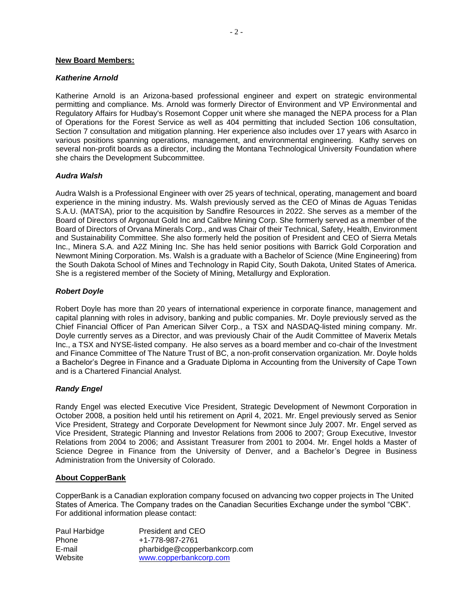#### **New Board Members:**

#### *Katherine Arnold*

Katherine Arnold is an Arizona-based professional engineer and expert on strategic environmental permitting and compliance. Ms. Arnold was formerly Director of Environment and VP Environmental and Regulatory Affairs for Hudbay's Rosemont Copper unit where she managed the NEPA process for a Plan of Operations for the Forest Service as well as 404 permitting that included Section 106 consultation, Section 7 consultation and mitigation planning. Her experience also includes over 17 years with Asarco in various positions spanning operations, management, and environmental engineering. Kathy serves on several non-profit boards as a director, including the Montana Technological University Foundation where she chairs the Development Subcommittee.

### *Audra Walsh*

Audra Walsh is a Professional Engineer with over 25 years of technical, operating, management and board experience in the mining industry. Ms. Walsh previously served as the CEO of Minas de Aguas Tenidas S.A.U. (MATSA), prior to the acquisition by Sandfire Resources in 2022. She serves as a member of the Board of Directors of Argonaut Gold Inc and Calibre Mining Corp. She formerly served as a member of the Board of Directors of Orvana Minerals Corp., and was Chair of their Technical, Safety, Health, Environment and Sustainability Committee. She also formerly held the position of President and CEO of Sierra Metals Inc., Minera S.A. and A2Z Mining Inc. She has held senior positions with Barrick Gold Corporation and Newmont Mining Corporation. Ms. Walsh is a graduate with a Bachelor of Science (Mine Engineering) from the South Dakota School of Mines and Technology in Rapid City, South Dakota, United States of America. She is a registered member of the Society of Mining, Metallurgy and Exploration.

### *Robert Doyle*

Robert Doyle has more than 20 years of international experience in corporate finance, management and capital planning with roles in advisory, banking and public companies. Mr. Doyle previously served as the Chief Financial Officer of Pan American Silver Corp., a TSX and NASDAQ-listed mining company. Mr. Doyle currently serves as a Director, and was previously Chair of the Audit Committee of Maverix Metals Inc., a TSX and NYSE-listed company. He also serves as a board member and co-chair of the Investment and Finance Committee of The Nature Trust of BC, a non-profit conservation organization. Mr. Doyle holds a Bachelor's Degree in Finance and a Graduate Diploma in Accounting from the University of Cape Town and is a Chartered Financial Analyst.

### *Randy Engel*

Randy Engel was elected Executive Vice President, Strategic Development of Newmont Corporation in October 2008, a position held until his retirement on April 4, 2021. Mr. Engel previously served as Senior Vice President, Strategy and Corporate Development for Newmont since July 2007. Mr. Engel served as Vice President, Strategic Planning and Investor Relations from 2006 to 2007; Group Executive, Investor Relations from 2004 to 2006; and Assistant Treasurer from 2001 to 2004. Mr. Engel holds a Master of Science Degree in Finance from the University of Denver, and a Bachelor's Degree in Business Administration from the University of Colorado.

### **About CopperBank**

CopperBank is a Canadian exploration company focused on advancing two copper projects in The United States of America. The Company trades on the Canadian Securities Exchange under the symbol "CBK". For additional information please contact:

| Paul Harbidge | President and CEO            |
|---------------|------------------------------|
| <b>Phone</b>  | +1-778-987-2761              |
| E-mail        | pharbidge@copperbankcorp.com |
| Website       | www.copperbankcorp.com       |